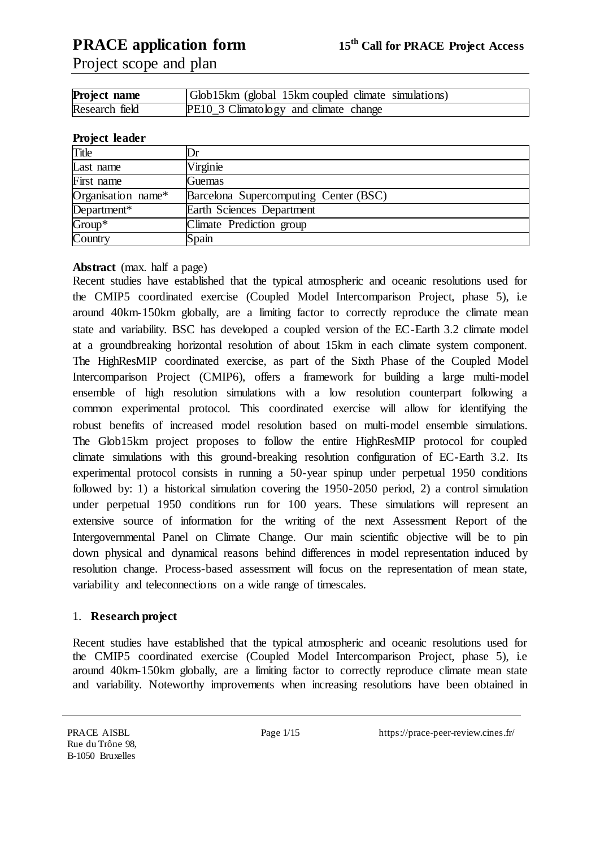Project scope and plan

| Project name   | Glob15km (global 15km coupled climate simulations) |
|----------------|----------------------------------------------------|
| Research field | PE10_3 Climatology and climate change              |

#### **Project leader**

| Title              |                                       |
|--------------------|---------------------------------------|
| Last name          | Virginie                              |
| First name         | Guemas                                |
| Organisation name* | Barcelona Supercomputing Center (BSC) |
| Department*        | Earth Sciences Department             |
| Group*             | Climate Prediction group              |
| Country            | Spain                                 |

**Abstract** (max. half a page)

Recent studies have established that the typical atmospheric and oceanic resolutions used for the CMIP5 coordinated exercise (Coupled Model Intercomparison Project, phase 5), i.e around 40km-150km globally, are a limiting factor to correctly reproduce the climate mean state and variability. BSC has developed a coupled version of the EC-Earth 3.2 climate model at a groundbreaking horizontal resolution of about 15km in each climate system component. The HighResMIP coordinated exercise, as part of the Sixth Phase of the Coupled Model Intercomparison Project (CMIP6), offers a framework for building a large multi-model ensemble of high resolution simulations with a low resolution counterpart following a common experimental protocol. This coordinated exercise will allow for identifying the robust benefits of increased model resolution based on multi-model ensemble simulations. The Glob15km project proposes to follow the entire HighResMIP protocol for coupled climate simulations with this ground-breaking resolution configuration of EC-Earth 3.2. Its experimental protocol consists in running a 50-year spinup under perpetual 1950 conditions followed by: 1) a historical simulation covering the 1950-2050 period, 2) a control simulation under perpetual 1950 conditions run for 100 years. These simulations will represent an extensive source of information for the writing of the next Assessment Report of the Intergovernmental Panel on Climate Change. Our main scientific objective will be to pin down physical and dynamical reasons behind differences in model representation induced by resolution change. Process-based assessment will focus on the representation of mean state, variability and teleconnections on a wide range of timescales.

#### 1. **Research project**

Recent studies have established that the typical atmospheric and oceanic resolutions used for the CMIP5 coordinated exercise (Coupled Model Intercomparison Project, phase 5), i.e around 40km-150km globally, are a limiting factor to correctly reproduce climate mean state and variability. Noteworthy improvements when increasing resolutions have been obtained in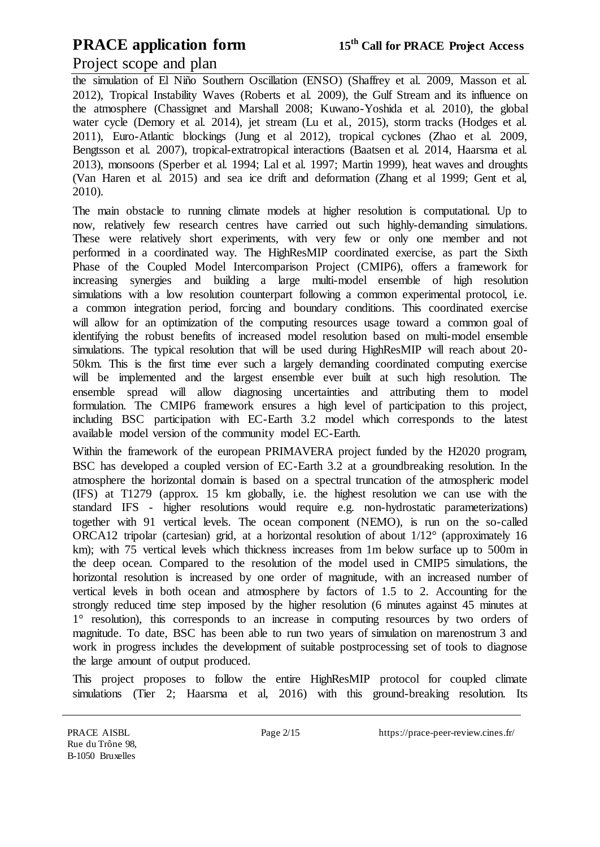### Project scope and plan

the simulation of El Niño Southern Oscillation (ENSO) (Shaffrey et al. 2009, Masson et al. 2012), Tropical Instability Waves (Roberts et al. 2009), the Gulf Stream and its influence on the atmosphere (Chassignet and Marshall 2008; Kuwano-Yoshida et al. 2010), the global water cycle (Demory et al. 2014), jet stream (Lu et al., 2015), storm tracks (Hodges et al. 2011), Euro-Atlantic blockings (Jung et al 2012), tropical cyclones (Zhao et al. 2009, Bengtsson et al. 2007), tropical-extratropical interactions (Baatsen et al. 2014, Haarsma et al. 2013), monsoons (Sperber et al. 1994; Lal et al. 1997; Martin 1999), heat waves and droughts (Van Haren et al. 2015) and sea ice drift and deformation (Zhang et al 1999; Gent et al, 2010).

The main obstacle to running climate models at higher resolution is computational. Up to now, relatively few research centres have carried out such highly-demanding simulations. These were relatively short experiments, with very few or only one member and not performed in a coordinated way. The HighResMIP coordinated exercise, as part the Sixth Phase of the Coupled Model Intercomparison Project (CMIP6), offers a framework for increasing synergies and building a large multi-model ensemble of high resolution simulations with a low resolution counterpart following a common experimental protocol, i.e. a common integration period, forcing and boundary conditions. This coordinated exercise will allow for an optimization of the computing resources usage toward a common goal of identifying the robust benefits of increased model resolution based on multi-model ensemble simulations. The typical resolution that will be used during HighResMIP will reach about 20- 50km. This is the first time ever such a largely demanding coordinated computing exercise will be implemented and the largest ensemble ever built at such high resolution. The ensemble spread will allow diagnosing uncertainties and attributing them to model formulation. The CMIP6 framework ensures a high level of participation to this project, including BSC participation with EC-Earth 3.2 model which corresponds to the latest available model version of the community model EC-Earth.

Within the framework of the european PRIMAVERA project funded by the H2020 program, BSC has developed a coupled version of EC-Earth 3.2 at a groundbreaking resolution. In the atmosphere the horizontal domain is based on a spectral truncation of the atmospheric model (IFS) at T1279 (approx. 15 km globally, i.e. the highest resolution we can use with the standard IFS - higher resolutions would require e.g. non-hydrostatic parameterizations) together with 91 vertical levels. The ocean component (NEMO), is run on the so-called ORCA12 tripolar (cartesian) grid, at a horizontal resolution of about 1/12° (approximately 16 km); with 75 vertical levels which thickness increases from 1m below surface up to 500m in the deep ocean. Compared to the resolution of the model used in CMIP5 simulations, the horizontal resolution is increased by one order of magnitude, with an increased number of vertical levels in both ocean and atmosphere by factors of 1.5 to 2. Accounting for the strongly reduced time step imposed by the higher resolution (6 minutes against 45 minutes at 1° resolution), this corresponds to an increase in computing resources by two orders of magnitude. To date, BSC has been able to run two years of simulation on marenostrum 3 and work in progress includes the development of suitable postprocessing set of tools to diagnose the large amount of output produced.

This project proposes to follow the entire HighResMIP protocol for coupled climate simulations (Tier 2; Haarsma et al, 2016) with this ground-breaking resolution. Its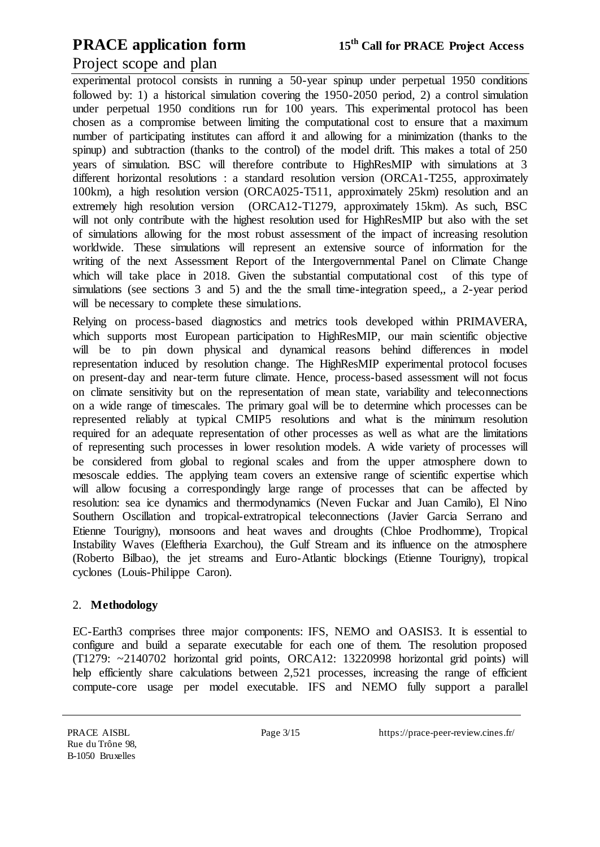### Project scope and plan

experimental protocol consists in running a 50-year spinup under perpetual 1950 conditions followed by: 1) a historical simulation covering the 1950-2050 period, 2) a control simulation under perpetual 1950 conditions run for 100 years. This experimental protocol has been chosen as a compromise between limiting the computational cost to ensure that a maximum number of participating institutes can afford it and allowing for a minimization (thanks to the spinup) and subtraction (thanks to the control) of the model drift. This makes a total of 250 years of simulation. BSC will therefore contribute to HighResMIP with simulations at 3 different horizontal resolutions : a standard resolution version (ORCA1-T255, approximately 100km), a high resolution version (ORCA025-T511, approximately 25km) resolution and an extremely high resolution version (ORCA12-T1279, approximately 15km). As such, BSC will not only contribute with the highest resolution used for HighResMIP but also with the set of simulations allowing for the most robust assessment of the impact of increasing resolution worldwide. These simulations will represent an extensive source of information for the writing of the next Assessment Report of the Intergovernmental Panel on Climate Change which will take place in 2018. Given the substantial computational cost of this type of simulations (see sections 3 and 5) and the the small time-integration speed,, a 2-year period will be necessary to complete these simulations.

Relying on process-based diagnostics and metrics tools developed within PRIMAVERA, which supports most European participation to HighResMIP, our main scientific objective will be to pin down physical and dynamical reasons behind differences in model representation induced by resolution change. The HighResMIP experimental protocol focuses on present-day and near-term future climate. Hence, process-based assessment will not focus on climate sensitivity but on the representation of mean state, variability and teleconnections on a wide range of timescales. The primary goal will be to determine which processes can be represented reliably at typical CMIP5 resolutions and what is the minimum resolution required for an adequate representation of other processes as well as what are the limitations of representing such processes in lower resolution models. A wide variety of processes will be considered from global to regional scales and from the upper atmosphere down to mesoscale eddies. The applying team covers an extensive range of scientific expertise which will allow focusing a correspondingly large range of processes that can be affected by resolution: sea ice dynamics and thermodynamics (Neven Fuckar and Juan Camilo), El Nino Southern Oscillation and tropical-extratropical teleconnections (Javier Garcia Serrano and Etienne Tourigny), monsoons and heat waves and droughts (Chloe Prodhomme), Tropical Instability Waves (Eleftheria Exarchou), the Gulf Stream and its influence on the atmosphere (Roberto Bilbao), the jet streams and Euro-Atlantic blockings (Etienne Tourigny), tropical cyclones (Louis-Philippe Caron).

#### 2. **Methodology**

EC-Earth3 comprises three major components: IFS, NEMO and OASIS3. It is essential to configure and build a separate executable for each one of them. The resolution proposed (T1279: ~2140702 horizontal grid points, ORCA12: 13220998 horizontal grid points) will help efficiently share calculations between 2,521 processes, increasing the range of efficient compute-core usage per model executable. IFS and NEMO fully support a parallel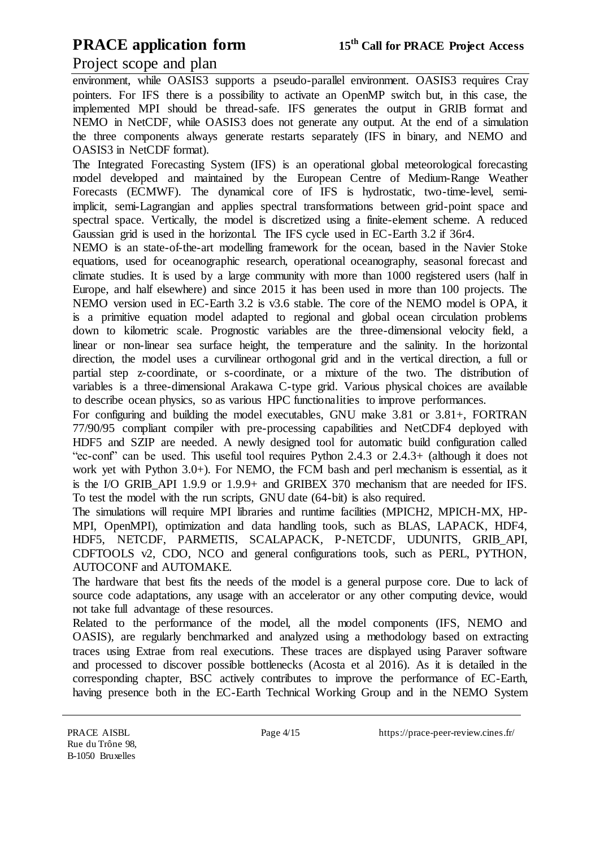### Project scope and plan

environment, while OASIS3 supports a pseudo-parallel environment. OASIS3 requires Cray pointers. For IFS there is a possibility to activate an OpenMP switch but, in this case, the implemented MPI should be thread-safe. IFS generates the output in GRIB format and NEMO in NetCDF, while OASIS3 does not generate any output. At the end of a simulation the three components always generate restarts separately (IFS in binary, and NEMO and OASIS3 in NetCDF format).

The Integrated Forecasting System (IFS) is an operational global meteorological forecasting model developed and maintained by the European Centre of Medium-Range Weather Forecasts (ECMWF). The dynamical core of IFS is hydrostatic, two-time-level, semiimplicit, semi-Lagrangian and applies spectral transformations between grid-point space and spectral space. Vertically, the model is discretized using a finite-element scheme. A reduced Gaussian grid is used in the horizontal. The IFS cycle used in EC-Earth 3.2 if 36r4.

NEMO is an state-of-the-art modelling framework for the ocean, based in the Navier Stoke equations, used for oceanographic research, operational oceanography, seasonal forecast and climate studies. It is used by a large community with more than 1000 registered users (half in Europe, and half elsewhere) and since 2015 it has been used in more than 100 projects. The NEMO version used in EC-Earth 3.2 is v3.6 stable. The core of the NEMO model is OPA, it is a primitive equation model adapted to regional and global ocean circulation problems down to kilometric scale. Prognostic variables are the three-dimensional velocity field, a linear or non-linear sea surface height, the temperature and the salinity. In the horizontal direction, the model uses a curvilinear orthogonal grid and in the vertical direction, a full or partial step z-coordinate, or s-coordinate, or a mixture of the two. The distribution of variables is a three-dimensional Arakawa C-type grid. Various physical choices are available to describe ocean physics, so as various HPC functionalities to improve performances.

For configuring and building the model executables, GNU make 3.81 or 3.81+, FORTRAN 77/90/95 compliant compiler with pre-processing capabilities and NetCDF4 deployed with HDF5 and SZIP are needed. A newly designed tool for automatic build configuration called "ec-conf" can be used. This useful tool requires Python 2.4.3 or 2.4.3+ (although it does not work yet with Python 3.0+). For NEMO, the FCM bash and perl mechanism is essential, as it is the I/O GRIB\_API 1.9.9 or 1.9.9+ and GRIBEX 370 mechanism that are needed for IFS. To test the model with the run scripts, GNU date (64-bit) is also required.

The simulations will require MPI libraries and runtime facilities (MPICH2, MPICH-MX, HP-MPI, OpenMPI), optimization and data handling tools, such as BLAS, LAPACK, HDF4, HDF5, NETCDF, PARMETIS, SCALAPACK, P-NETCDF, UDUNITS, GRIB\_API, CDFTOOLS v2, CDO, NCO and general configurations tools, such as PERL, PYTHON, AUTOCONF and AUTOMAKE.

The hardware that best fits the needs of the model is a general purpose core. Due to lack of source code adaptations, any usage with an accelerator or any other computing device, would not take full advantage of these resources.

Related to the performance of the model, all the model components (IFS, NEMO and OASIS), are regularly benchmarked and analyzed using a methodology based on extracting traces using Extrae from real executions. These traces are displayed using Paraver software and processed to discover possible bottlenecks (Acosta et al 2016). As it is detailed in the corresponding chapter, BSC actively contributes to improve the performance of EC-Earth, having presence both in the EC-Earth Technical Working Group and in the NEMO System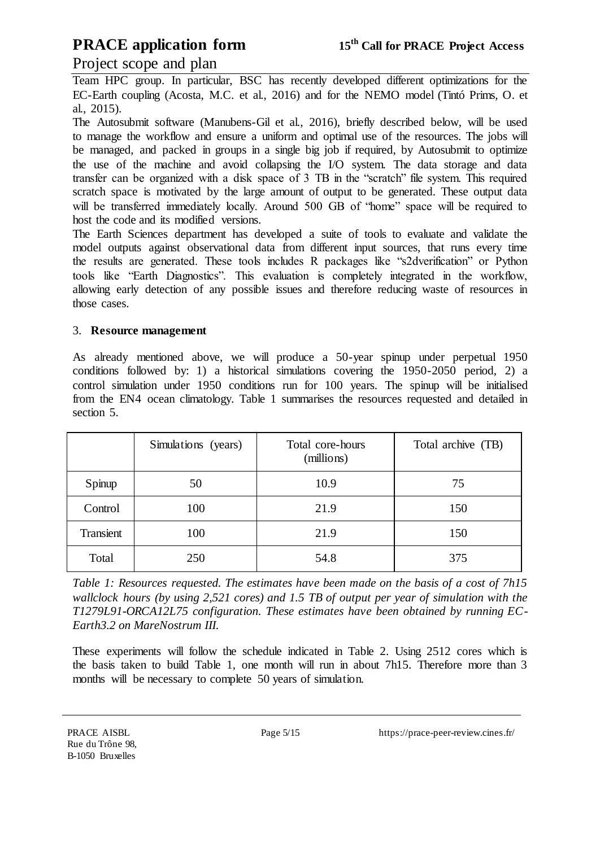### Project scope and plan

Team HPC group. In particular, BSC has recently developed different optimizations for the EC-Earth coupling (Acosta, M.C. et al., 2016) and for the NEMO model (Tintó Prims, O. et al., 2015).

The Autosubmit software (Manubens-Gil et al., 2016), briefly described below, will be used to manage the workflow and ensure a uniform and optimal use of the resources. The jobs will be managed, and packed in groups in a single big job if required, by Autosubmit to optimize the use of the machine and avoid collapsing the I/O system. The data storage and data transfer can be organized with a disk space of 3 TB in the "scratch" file system. This required scratch space is motivated by the large amount of output to be generated. These output data will be transferred immediately locally. Around 500 GB of "home" space will be required to host the code and its modified versions.

The Earth Sciences department has developed a suite of tools to evaluate and validate the model outputs against observational data from different input sources, that runs every time the results are generated. These tools includes R packages like "s2dverification" or Python tools like "Earth Diagnostics". This evaluation is completely integrated in the workflow, allowing early detection of any possible issues and therefore reducing waste of resources in those cases.

#### 3. **Resource management**

As already mentioned above, we will produce a 50-year spinup under perpetual 1950 conditions followed by: 1) a historical simulations covering the 1950-2050 period, 2) a control simulation under 1950 conditions run for 100 years. The spinup will be initialised from the EN4 ocean climatology. Table 1 summarises the resources requested and detailed in section 5.

|           | Simulations (years) | Total core-hours<br>(millions) | Total archive (TB) |
|-----------|---------------------|--------------------------------|--------------------|
| Spinup    | 50                  | 10.9                           | 75                 |
| Control   | 100                 | 21.9                           | 150                |
| Transient | 100                 | 21.9                           | 150                |
| Total     | 250                 | 54.8                           | 375                |

*Table 1: Resources requested. The estimates have been made on the basis of a cost of 7h15 wallclock hours (by using 2,521 cores) and 1.5 TB of output per year of simulation with the T1279L91-ORCA12L75 configuration. These estimates have been obtained by running EC-Earth3.2 on MareNostrum III.*

These experiments will follow the schedule indicated in Table 2. Using 2512 cores which is the basis taken to build Table 1, one month will run in about 7h15. Therefore more than 3 months will be necessary to complete 50 years of simulation.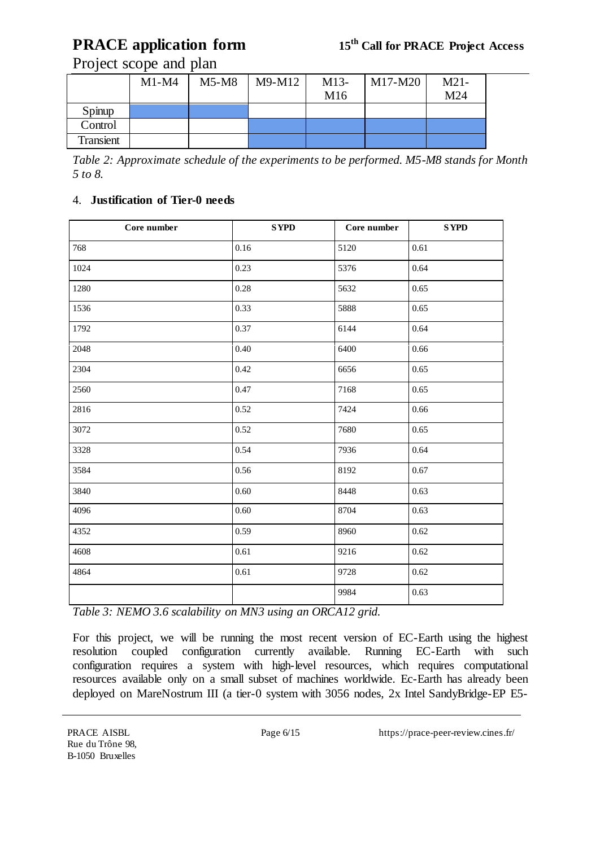## Project scope and plan

|           | $M1-M4$ | $M5-M8$ | M9-M12 | $M13-$ | M17-M20 | $M21-$ |
|-----------|---------|---------|--------|--------|---------|--------|
|           |         |         |        | M16    |         | M24    |
| Spinup    |         |         |        |        |         |        |
| Control   |         |         |        |        |         |        |
| Transient |         |         |        |        |         |        |

*Table 2: Approximate schedule of the experiments to be performed. M5-M8 stands for Month 5 to 8.*

### 4. **Justification of Tier-0 needs**

| Core number | <b>SYPD</b> | Core number | <b>SYPD</b> |
|-------------|-------------|-------------|-------------|
| 768         | 0.16        | 5120        | 0.61        |
| 1024        | 0.23        | 5376        | 0.64        |
| 1280        | 0.28        | 5632        | 0.65        |
| 1536        | 0.33        | 5888        | 0.65        |
| 1792        | 0.37        | 6144        | 0.64        |
| 2048        | 0.40        | 6400        | 0.66        |
| 2304        | 0.42        | 6656        | 0.65        |
| 2560        | 0.47        | 7168        | 0.65        |
| 2816        | 0.52        | 7424        | 0.66        |
| 3072        | 0.52        | 7680        | 0.65        |
| 3328        | 0.54        | 7936        | 0.64        |
| 3584        | 0.56        | 8192        | 0.67        |
| 3840        | 0.60        | 8448        | 0.63        |
| 4096        | 0.60        | 8704        | 0.63        |
| 4352        | 0.59        | 8960        | 0.62        |
| 4608        | $0.61\,$    | 9216        | 0.62        |
| 4864        | 0.61        | 9728        | 0.62        |
|             |             | 9984        | 0.63        |

*Table 3: NEMO 3.6 scalability on MN3 using an ORCA12 grid.*

For this project, we will be running the most recent version of EC-Earth using the highest resolution coupled configuration currently available. Running EC-Earth with such configuration requires a system with high-level resources, which requires computational resources available only on a small subset of machines worldwide. Ec-Earth has already been deployed on MareNostrum III (a tier-0 system with 3056 nodes, 2x Intel SandyBridge-EP E5-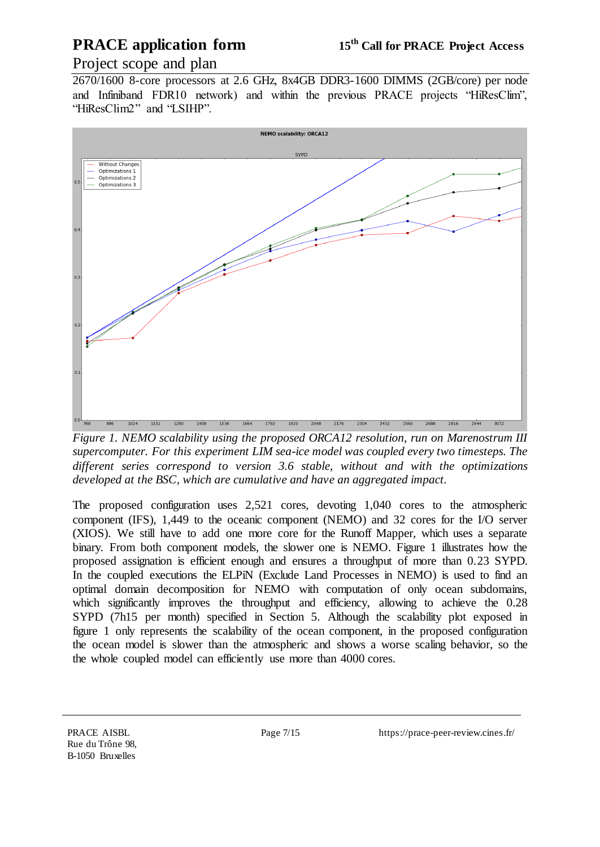## Project scope and plan

2670/1600 8-core processors at 2.6 GHz, 8x4GB DDR3-1600 DIMMS (2GB/core) per node and Infiniband FDR10 network) and within the previous PRACE projects "HiResClim", "HiResClim2" and "LSIHP".



*Figure 1. NEMO scalability using the proposed ORCA12 resolution, run on Marenostrum III supercomputer. For this experiment LIM sea-ice model was coupled every two timesteps. The different series correspond to version 3.6 stable, without and with the optimizations developed at the BSC, which are cumulative and have an aggregated impact.*

The proposed configuration uses 2,521 cores, devoting 1,040 cores to the atmospheric component (IFS), 1,449 to the oceanic component (NEMO) and 32 cores for the I/O server (XIOS). We still have to add one more core for the Runoff Mapper, which uses a separate binary. From both component models, the slower one is NEMO. Figure 1 illustrates how the proposed assignation is efficient enough and ensures a throughput of more than 0.23 SYPD. In the coupled executions the ELPiN (Exclude Land Processes in NEMO) is used to find an optimal domain decomposition for NEMO with computation of only ocean subdomains, which significantly improves the throughput and efficiency, allowing to achieve the 0.28 SYPD (7h15 per month) specified in Section 5. Although the scalability plot exposed in figure 1 only represents the scalability of the ocean component, in the proposed configuration the ocean model is slower than the atmospheric and shows a worse scaling behavior, so the the whole coupled model can efficiently use more than 4000 cores.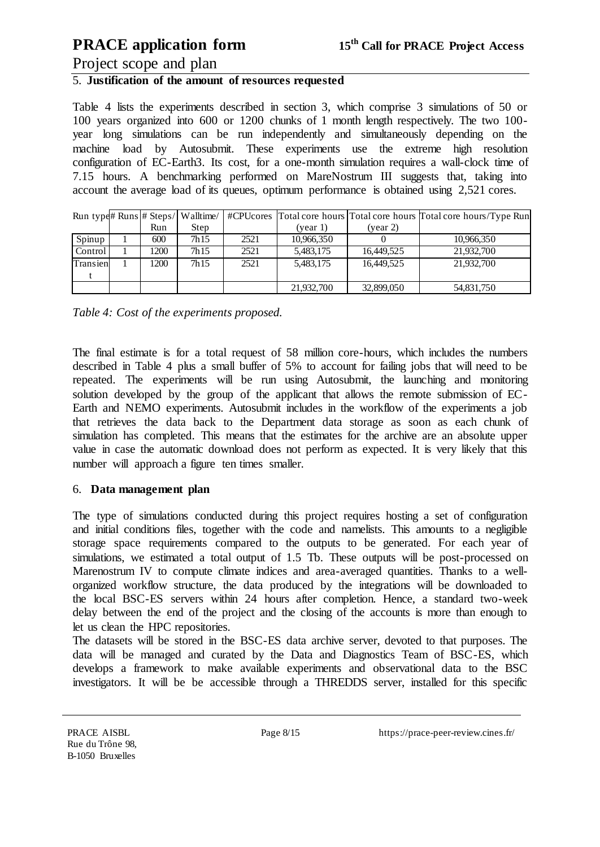### Project scope and plan

## 5. **Justification of the amount of resources requested**

Table 4 lists the experiments described in section 3, which comprise 3 simulations of 50 or 100 years organized into 600 or 1200 chunks of 1 month length respectively. The two 100 year long simulations can be run independently and simultaneously depending on the machine load by Autosubmit. These experiments use the extreme high resolution configuration of EC-Earth3. Its cost, for a one-month simulation requires a wall-clock time of 7.15 hours. A benchmarking performed on MareNostrum III suggests that, taking into account the average load of its queues, optimum performance is obtained using 2,521 cores.

|          |      | Run type# Runs # Steps/ Walltime/ |      |            |            | #CPU cores Total core hours Total core hours Total core hours/Type Run |
|----------|------|-----------------------------------|------|------------|------------|------------------------------------------------------------------------|
|          | Run  | Step                              |      | (year 1)   | (year 2)   |                                                                        |
| Spinup   | 600  | 7h <sub>15</sub>                  | 2521 | 10,966,350 |            | 10,966,350                                                             |
| Control  | 1200 | 7h <sub>15</sub>                  | 2521 | 5,483,175  | 16,449,525 | 21,932,700                                                             |
| Transien | 1200 | 7h <sub>15</sub>                  | 2521 | 5,483,175  | 16,449,525 | 21,932,700                                                             |
|          |      |                                   |      |            |            |                                                                        |
|          |      |                                   |      | 21,932,700 | 32,899,050 | 54,831,750                                                             |

|  | Table 4: Cost of the experiments proposed. |  |
|--|--------------------------------------------|--|
|  |                                            |  |

The final estimate is for a total request of 58 million core-hours, which includes the numbers described in Table 4 plus a small buffer of 5% to account for failing jobs that will need to be repeated. The experiments will be run using Autosubmit, the launching and monitoring solution developed by the group of the applicant that allows the remote submission of EC-Earth and NEMO experiments. Autosubmit includes in the workflow of the experiments a job that retrieves the data back to the Department data storage as soon as each chunk of simulation has completed. This means that the estimates for the archive are an absolute upper value in case the automatic download does not perform as expected. It is very likely that this number will approach a figure ten times smaller.

#### 6. **Data management plan**

The type of simulations conducted during this project requires hosting a set of configuration and initial conditions files, together with the code and namelists. This amounts to a negligible storage space requirements compared to the outputs to be generated. For each year of simulations, we estimated a total output of 1.5 Tb. These outputs will be post-processed on Marenostrum IV to compute climate indices and area-averaged quantities. Thanks to a wellorganized workflow structure, the data produced by the integrations will be downloaded to the local BSC-ES servers within 24 hours after completion. Hence, a standard two-week delay between the end of the project and the closing of the accounts is more than enough to let us clean the HPC repositories.

The datasets will be stored in the BSC-ES data archive server, devoted to that purposes. The data will be managed and curated by the Data and Diagnostics Team of BSC-ES, which develops a framework to make available experiments and observational data to the BSC investigators. It will be be accessible through a THREDDS server, installed for this specific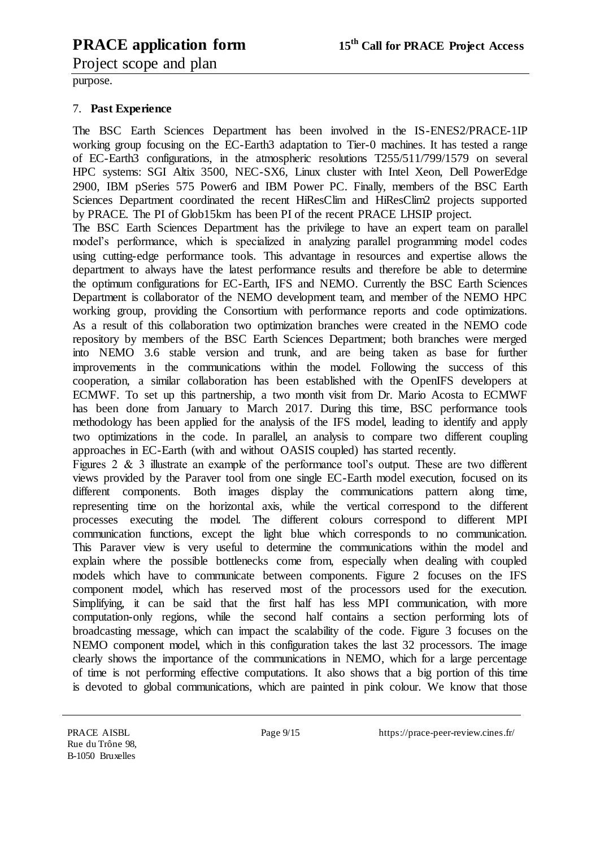Project scope and plan

purpose.

#### 7. **Past Experience**

The BSC Earth Sciences Department has been involved in the IS-ENES2/PRACE-1IP working group focusing on the EC-Earth3 adaptation to Tier-0 machines. It has tested a range of EC-Earth3 configurations, in the atmospheric resolutions T255/511/799/1579 on several HPC systems: SGI Altix 3500, NEC-SX6, Linux cluster with Intel Xeon, Dell PowerEdge 2900, IBM pSeries 575 Power6 and IBM Power PC. Finally, members of the BSC Earth Sciences Department coordinated the recent HiResClim and HiResClim2 projects supported by PRACE. The PI of Glob15km has been PI of the recent PRACE LHSIP project.

The BSC Earth Sciences Department has the privilege to have an expert team on parallel model's performance, which is specialized in analyzing parallel programming model codes using cutting-edge performance tools. This advantage in resources and expertise allows the department to always have the latest performance results and therefore be able to determine the optimum configurations for EC-Earth, IFS and NEMO. Currently the BSC Earth Sciences Department is collaborator of the NEMO development team, and member of the NEMO HPC working group, providing the Consortium with performance reports and code optimizations. As a result of this collaboration two optimization branches were created in the NEMO code repository by members of the BSC Earth Sciences Department; both branches were merged into NEMO 3.6 stable version and trunk, and are being taken as base for further improvements in the communications within the model. Following the success of this cooperation, a similar collaboration has been established with the OpenIFS developers at ECMWF. To set up this partnership, a two month visit from Dr. Mario Acosta to ECMWF has been done from January to March 2017. During this time, BSC performance tools methodology has been applied for the analysis of the IFS model, leading to identify and apply two optimizations in the code. In parallel, an analysis to compare two different coupling approaches in EC-Earth (with and without OASIS coupled) has started recently.

Figures 2 & 3 illustrate an example of the performance tool's output. These are two different views provided by the Paraver tool from one single EC-Earth model execution, focused on its different components. Both images display the communications pattern along time, representing time on the horizontal axis, while the vertical correspond to the different processes executing the model. The different colours correspond to different MPI communication functions, except the light blue which corresponds to no communication. This Paraver view is very useful to determine the communications within the model and explain where the possible bottlenecks come from, especially when dealing with coupled models which have to communicate between components. Figure 2 focuses on the IFS component model, which has reserved most of the processors used for the execution. Simplifying, it can be said that the first half has less MPI communication, with more computation-only regions, while the second half contains a section performing lots of broadcasting message, which can impact the scalability of the code. Figure 3 focuses on the NEMO component model, which in this configuration takes the last 32 processors. The image clearly shows the importance of the communications in NEMO, which for a large percentage of time is not performing effective computations. It also shows that a big portion of this time is devoted to global communications, which are painted in pink colour. We know that those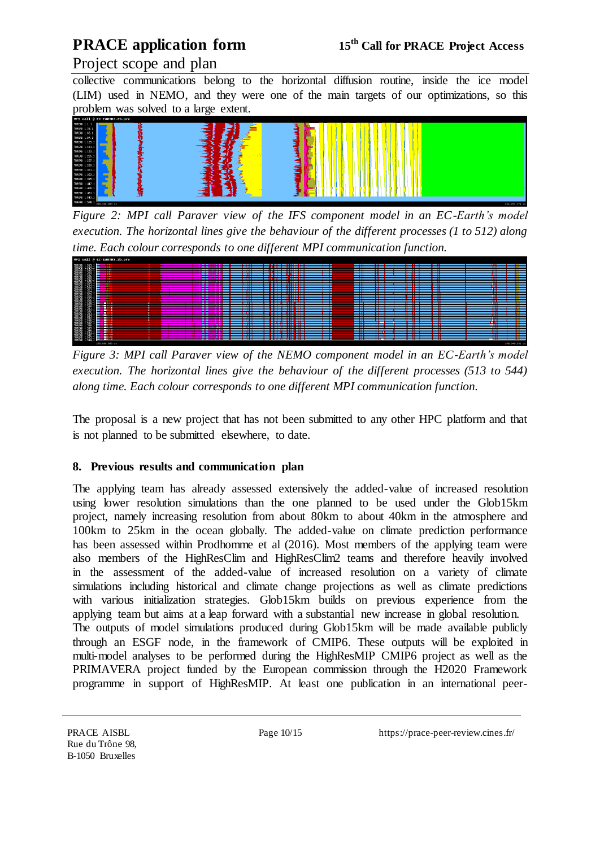## Project scope and plan

collective communications belong to the horizontal diffusion routine, inside the ice model (LIM) used in NEMO, and they were one of the main targets of our optimizations, so this problem was solved to a large extent.



*Figure 2: MPI call Paraver view of the IFS component model in an EC-Earth's model execution. The horizontal lines give the behaviour of the different processes (1 to 512) along time. Each colour corresponds to one different MPI communication function.*



*Figure 3: MPI call Paraver view of the NEMO component model in an EC-Earth's model execution. The horizontal lines give the behaviour of the different processes (513 to 544) along time. Each colour corresponds to one different MPI communication function.*

The proposal is a new project that has not been submitted to any other HPC platform and that is not planned to be submitted elsewhere, to date.

### **8. Previous results and communication plan**

The applying team has already assessed extensively the added-value of increased resolution using lower resolution simulations than the one planned to be used under the Glob15km project, namely increasing resolution from about 80km to about 40km in the atmosphere and 100km to 25km in the ocean globally. The added-value on climate prediction performance has been assessed within Prodhomme et al (2016). Most members of the applying team were also members of the HighResClim and HighResClim2 teams and therefore heavily involved in the assessment of the added-value of increased resolution on a variety of climate simulations including historical and climate change projections as well as climate predictions with various initialization strategies. Glob15km builds on previous experience from the applying team but aims at a leap forward with a substantial new increase in global resolution. The outputs of model simulations produced during Glob15km will be made available publicly through an ESGF node, in the framework of CMIP6. These outputs will be exploited in multi-model analyses to be performed during the HighResMIP CMIP6 project as well as the PRIMAVERA project funded by the European commission through the H2020 Framework programme in support of HighResMIP. At least one publication in an international peer-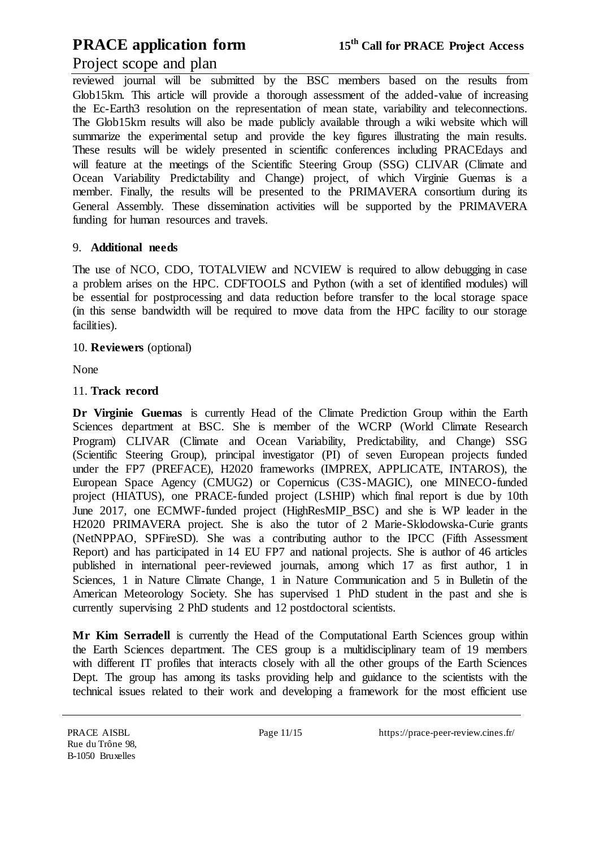### Project scope and plan

reviewed journal will be submitted by the BSC members based on the results from Glob15km. This article will provide a thorough assessment of the added-value of increasing the Ec-Earth3 resolution on the representation of mean state, variability and teleconnections. The Glob15km results will also be made publicly available through a wiki website which will summarize the experimental setup and provide the key figures illustrating the main results. These results will be widely presented in scientific conferences including PRACEdays and will feature at the meetings of the Scientific Steering Group (SSG) CLIVAR (Climate and Ocean Variability Predictability and Change) project, of which Virginie Guemas is a member. Finally, the results will be presented to the PRIMAVERA consortium during its General Assembly. These dissemination activities will be supported by the PRIMAVERA funding for human resources and travels.

#### 9. **Additional needs**

The use of NCO, CDO, TOTALVIEW and NCVIEW is required to allow debugging in case a problem arises on the HPC. CDFTOOLS and Python (with a set of identified modules) will be essential for postprocessing and data reduction before transfer to the local storage space (in this sense bandwidth will be required to move data from the HPC facility to our storage facilities).

#### 10. **Reviewers** (optional)

None

#### 11. **Track record**

**Dr Virginie Guemas** is currently Head of the Climate Prediction Group within the Earth Sciences department at BSC. She is member of the WCRP (World Climate Research Program) CLIVAR (Climate and Ocean Variability, Predictability, and Change) SSG (Scientific Steering Group), principal investigator (PI) of seven European projects funded under the FP7 (PREFACE), H2020 frameworks (IMPREX, APPLICATE, INTAROS), the European Space Agency (CMUG2) or Copernicus (C3S-MAGIC), one MINECO-funded project (HIATUS), one PRACE-funded project (LSHIP) which final report is due by 10th June 2017, one ECMWF-funded project (HighResMIP\_BSC) and she is WP leader in the H2020 PRIMAVERA project. She is also the tutor of 2 Marie-Sklodowska-Curie grants (NetNPPAO, SPFireSD). She was a contributing author to the IPCC (Fifth Assessment Report) and has participated in 14 EU FP7 and national projects. She is author of 46 articles published in international peer-reviewed journals, among which 17 as first author, 1 in Sciences, 1 in Nature Climate Change, 1 in Nature Communication and 5 in Bulletin of the American Meteorology Society. She has supervised 1 PhD student in the past and she is currently supervising 2 PhD students and 12 postdoctoral scientists.

Mr Kim Serradell is currently the Head of the Computational Earth Sciences group within the Earth Sciences department. The CES group is a multidisciplinary team of 19 members with different IT profiles that interacts closely with all the other groups of the Earth Sciences Dept. The group has among its tasks providing help and guidance to the scientists with the technical issues related to their work and developing a framework for the most efficient use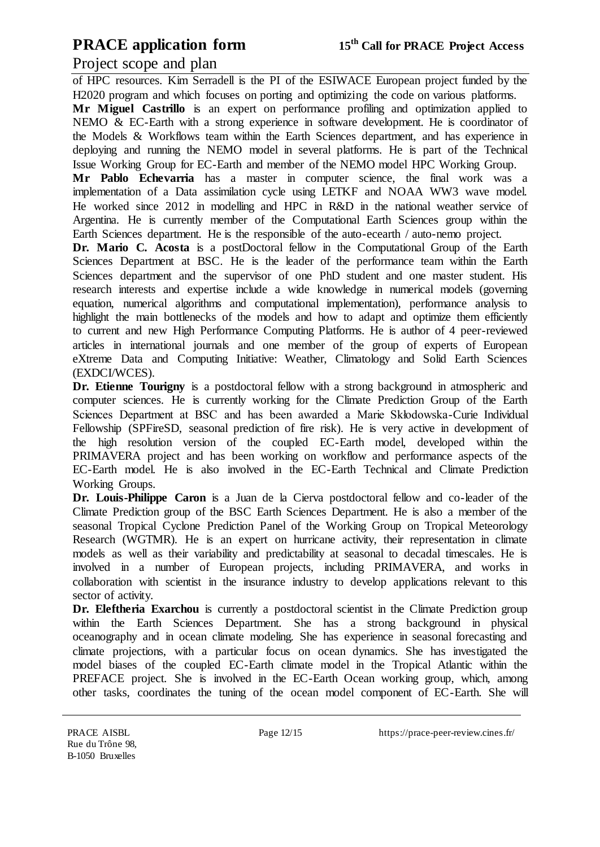### Project scope and plan

of HPC resources. Kim Serradell is the PI of the ESIWACE European project funded by the H2020 program and which focuses on porting and optimizing the code on various platforms.

**Mr Miguel Castrillo** is an expert on performance profiling and optimization applied to NEMO & EC-Earth with a strong experience in software development. He is coordinator of the Models & Workflows team within the Earth Sciences department, and has experience in deploying and running the NEMO model in several platforms. He is part of the Technical Issue Working Group for EC-Earth and member of the NEMO model HPC Working Group.

**Mr Pablo Echevarria** has a master in computer science, the final work was a implementation of a Data assimilation cycle using LETKF and NOAA WW3 wave model. He worked since 2012 in modelling and HPC in R&D in the national weather service of Argentina. He is currently member of the Computational Earth Sciences group within the Earth Sciences department. He is the responsible of the auto-ecearth / auto-nemo project.

**Dr. Mario C. Acosta** is a postDoctoral fellow in the Computational Group of the Earth Sciences Department at BSC. He is the leader of the performance team within the Earth Sciences department and the supervisor of one PhD student and one master student. His research interests and expertise include a wide knowledge in numerical models (governing equation, numerical algorithms and computational implementation), performance analysis to highlight the main bottlenecks of the models and how to adapt and optimize them efficiently to current and new High Performance Computing Platforms. He is author of 4 peer-reviewed articles in international journals and one member of the group of experts of European eXtreme Data and Computing Initiative: Weather, Climatology and Solid Earth Sciences (EXDCI/WCES).

**Dr. Etienne Tourigny** is a postdoctoral fellow with a strong background in atmospheric and computer sciences. He is currently working for the Climate Prediction Group of the Earth Sciences Department at BSC and has been awarded a Marie Skłodowska-Curie Individual Fellowship (SPFireSD, seasonal prediction of fire risk). He is very active in development of the high resolution version of the coupled EC-Earth model, developed within the PRIMAVERA project and has been working on workflow and performance aspects of the EC-Earth model. He is also involved in the EC-Earth Technical and Climate Prediction Working Groups.

**Dr. Louis-Philippe Caron** is a Juan de la Cierva postdoctoral fellow and co-leader of the Climate Prediction group of the BSC Earth Sciences Department. He is also a member of the seasonal Tropical Cyclone Prediction Panel of the Working Group on Tropical Meteorology Research (WGTMR). He is an expert on hurricane activity, their representation in climate models as well as their variability and predictability at seasonal to decadal timescales. He is involved in a number of European projects, including PRIMAVERA, and works in collaboration with scientist in the insurance industry to develop applications relevant to this sector of activity.

**Dr. Eleftheria Exarchou** is currently a postdoctoral scientist in the Climate Prediction group within the Earth Sciences Department. She has a strong background in physical oceanography and in ocean climate modeling. She has experience in seasonal forecasting and climate projections, with a particular focus on ocean dynamics. She has investigated the model biases of the coupled EC-Earth climate model in the Tropical Atlantic within the PREFACE project. She is involved in the EC-Earth Ocean working group, which, among other tasks, coordinates the tuning of the ocean model component of EC-Earth. She will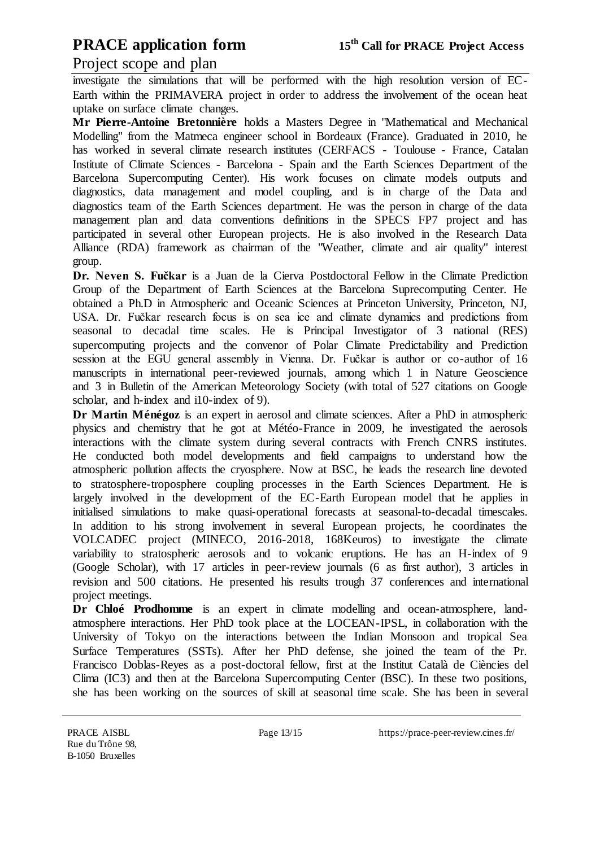### Project scope and plan

investigate the simulations that will be performed with the high resolution version of EC-Earth within the PRIMAVERA project in order to address the involvement of the ocean heat uptake on surface climate changes.

**Mr Pierre-Antoine Bretonnière** holds a Masters Degree in "Mathematical and Mechanical Modelling" from the Matmeca engineer school in Bordeaux (France). Graduated in 2010, he has worked in several climate research institutes (CERFACS - Toulouse - France, Catalan Institute of Climate Sciences - Barcelona - Spain and the Earth Sciences Department of the Barcelona Supercomputing Center). His work focuses on climate models outputs and diagnostics, data management and model coupling, and is in charge of the Data and diagnostics team of the Earth Sciences department. He was the person in charge of the data management plan and data conventions definitions in the SPECS FP7 project and has participated in several other European projects. He is also involved in the Research Data Alliance (RDA) framework as chairman of the "Weather, climate and air quality" interest group.

**Dr. Neven S. Fučkar** is a Juan de la Cierva Postdoctoral Fellow in the Climate Prediction Group of the Department of Earth Sciences at the Barcelona Suprecomputing Center. He obtained a Ph.D in Atmospheric and Oceanic Sciences at Princeton University, Princeton, NJ, USA. Dr. Fučkar research focus is on sea ice and climate dynamics and predictions from seasonal to decadal time scales. He is Principal Investigator of 3 national (RES) supercomputing projects and the convenor of Polar Climate Predictability and Prediction session at the EGU general assembly in Vienna. Dr. Fučkar is author or co-author of 16 manuscripts in international peer-reviewed journals, among which 1 in Nature Geoscience and 3 in Bulletin of the American Meteorology Society (with total of 527 citations on Google scholar, and h-index and i10-index of 9).

**Dr Martin Ménégoz** is an expert in aerosol and climate sciences. After a PhD in atmospheric physics and chemistry that he got at Météo-France in 2009, he investigated the aerosols interactions with the climate system during several contracts with French CNRS institutes. He conducted both model developments and field campaigns to understand how the atmospheric pollution affects the cryosphere. Now at BSC, he leads the research line devoted to stratosphere-troposphere coupling processes in the Earth Sciences Department. He is largely involved in the development of the EC-Earth European model that he applies in initialised simulations to make quasi-operational forecasts at seasonal-to-decadal timescales. In addition to his strong involvement in several European projects, he coordinates the VOLCADEC project (MINECO, 2016-2018, 168Keuros) to investigate the climate variability to stratospheric aerosols and to volcanic eruptions. He has an H-index of 9 (Google Scholar), with 17 articles in peer-review journals (6 as first author), 3 articles in revision and 500 citations. He presented his results trough 37 conferences and international project meetings.

**Dr Chloé Prodhomme** is an expert in climate modelling and ocean-atmosphere, landatmosphere interactions. Her PhD took place at the LOCEAN-IPSL, in collaboration with the University of Tokyo on the interactions between the Indian Monsoon and tropical Sea Surface Temperatures (SSTs). After her PhD defense, she joined the team of the Pr. Francisco Doblas-Reyes as a post-doctoral fellow, first at the Institut Català de Ciències del Clima (IC3) and then at the Barcelona Supercomputing Center (BSC). In these two positions, she has been working on the sources of skill at seasonal time scale. She has been in several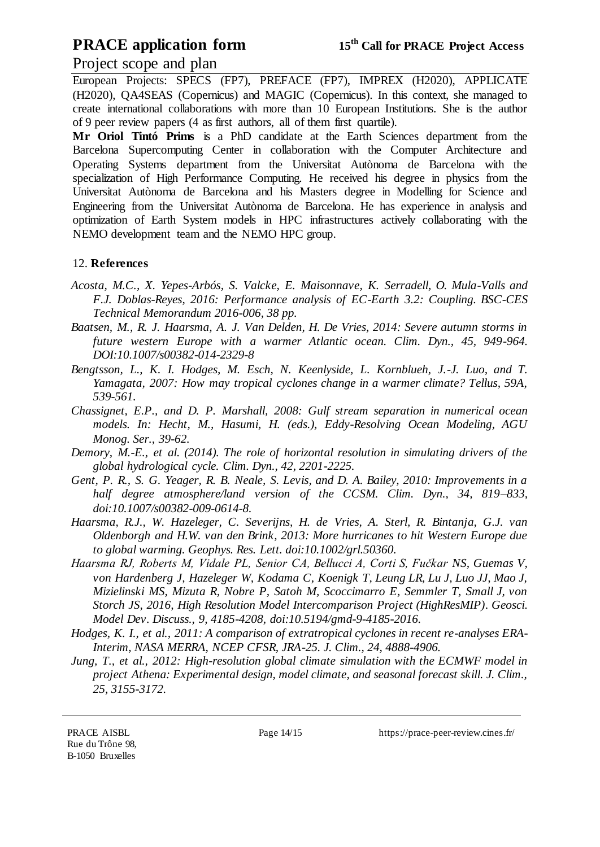### Project scope and plan

European Projects: SPECS (FP7), PREFACE (FP7), IMPREX (H2020), APPLICATE (H2020), QA4SEAS (Copernicus) and MAGIC (Copernicus). In this context, she managed to create international collaborations with more than 10 European Institutions. She is the author of 9 peer review papers (4 as first authors, all of them first quartile).

**Mr Oriol Tintó Prims** is a PhD candidate at the Earth Sciences department from the Barcelona Supercomputing Center in collaboration with the Computer Architecture and Operating Systems department from the Universitat Autònoma de Barcelona with the specialization of High Performance Computing. He received his degree in physics from the Universitat Autònoma de Barcelona and his Masters degree in Modelling for Science and Engineering from the Universitat Autònoma de Barcelona. He has experience in analysis and optimization of Earth System models in HPC infrastructures actively collaborating with the NEMO development team and the NEMO HPC group.

### 12. **References**

- *Acosta, M.C., X. Yepes-Arbós, S. Valcke, E. Maisonnave, K. Serradell, O. Mula-Valls and F.J. Doblas-Reyes, 2016: Performance analysis of EC-Earth 3.2: Coupling. BSC-CES Technical Memorandum 2016-006, 38 pp.*
- *Baatsen, M., R. J. Haarsma, A. J. Van Delden, H. De Vries, 2014: Severe autumn storms in future western Europe with a warmer Atlantic ocean. Clim. Dyn., 45, 949-964. DOI:10.1007/s00382-014-2329-8*
- *Bengtsson, L., K. I. Hodges, M. Esch, N. Keenlyside, L. Kornblueh, J.-J. Luo, and T. Yamagata, 2007: How may tropical cyclones change in a warmer climate? Tellus, 59A, 539-561.*
- *Chassignet, E.P., and D. P. Marshall, 2008: Gulf stream separation in numerical ocean models. In: Hecht, M., Hasumi, H. (eds.), Eddy-Resolving Ocean Modeling, AGU Monog. Ser., 39-62.*
- *Demory, M.-E., et al. (2014). The role of horizontal resolution in simulating drivers of the global hydrological cycle. Clim. Dyn., 42, 2201-2225.*
- *Gent, P. R., S. G. Yeager, R. B. Neale, S. Levis, and D. A. Bailey, 2010: Improvements in a half degree atmosphere/land version of the CCSM. Clim. Dyn., 34, 819–833, doi:10.1007/s00382-009-0614-8.*
- *Haarsma, R.J., W. Hazeleger, C. Severijns, H. de Vries, A. Sterl, R. Bintanja, G.J. van Oldenborgh and H.W. van den Brink, 2013: More hurricanes to hit Western Europe due to global warming. Geophys. Res. Lett. doi:10.1002/grl.50360.*
- *Haarsma RJ, Roberts M, Vidale PL, Senior CA, Bellucci A, Corti S, Fučkar NS, Guemas V, von Hardenberg J, Hazeleger W, Kodama C, Koenigk T, Leung LR, Lu J, Luo JJ, Mao J, Mizielinski MS, Mizuta R, Nobre P, Satoh M, Scoccimarro E, Semmler T, Small J, von Storch JS, 2016, High Resolution Model Intercomparison Project (HighResMIP). Geosci. Model Dev. Discuss., 9, 4185-4208, doi:10.5194/gmd-9-4185-2016.*
- *Hodges, K. I., et al., 2011: A comparison of extratropical cyclones in recent re-analyses ERA-Interim, NASA MERRA, NCEP CFSR, JRA-25. J. Clim., 24, 4888-4906.*
- *Jung, T., et al., 2012: High-resolution global climate simulation with the ECMWF model in project Athena: Experimental design, model climate, and seasonal forecast skill. J. Clim., 25, 3155-3172.*